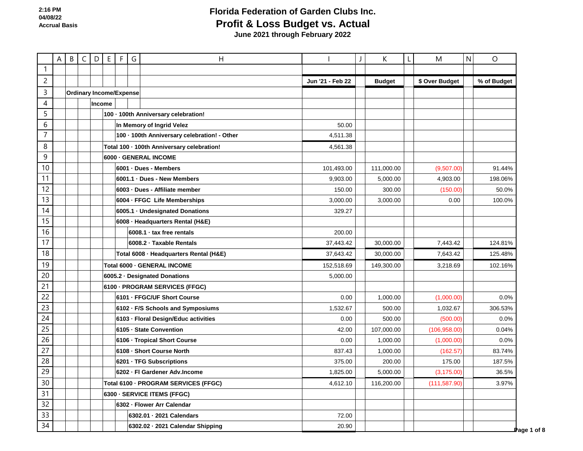|                | Α | B | $\mathsf{C}$ | D      | E | $\mathsf F$                    | G | Н                                            |                  | К             | $\mathbf{I}$ | M              | $\mathsf{N}$ | O           |
|----------------|---|---|--------------|--------|---|--------------------------------|---|----------------------------------------------|------------------|---------------|--------------|----------------|--------------|-------------|
| $\mathbf{1}$   |   |   |              |        |   |                                |   |                                              |                  |               |              |                |              |             |
| $\overline{c}$ |   |   |              |        |   |                                |   |                                              | Jun '21 - Feb 22 | <b>Budget</b> |              | \$ Over Budget |              | % of Budget |
| $\mathsf{3}$   |   |   |              |        |   | <b>Ordinary Income/Expense</b> |   |                                              |                  |               |              |                |              |             |
| 4              |   |   |              | Income |   |                                |   |                                              |                  |               |              |                |              |             |
| 5              |   |   |              |        |   |                                |   | 100 · 100th Anniversary celebration!         |                  |               |              |                |              |             |
| 6              |   |   |              |        |   |                                |   | In Memory of Ingrid Velez                    | 50.00            |               |              |                |              |             |
| $\overline{7}$ |   |   |              |        |   |                                |   | 100 · 100th Anniversary celebration! - Other | 4.511.38         |               |              |                |              |             |
| $\, 8$         |   |   |              |        |   |                                |   | Total 100 · 100th Anniversary celebration!   | 4,561.38         |               |              |                |              |             |
| $\mathsf 9$    |   |   |              |        |   |                                |   | 6000 - GENERAL INCOME                        |                  |               |              |                |              |             |
| 10             |   |   |              |        |   |                                |   | 6001 · Dues - Members                        | 101,493.00       | 111,000.00    |              | (9,507.00)     |              | 91.44%      |
| 11             |   |   |              |        |   |                                |   | 6001.1 · Dues - New Members                  | 9,903.00         | 5,000.00      |              | 4,903.00       |              | 198.06%     |
| 12             |   |   |              |        |   |                                |   | 6003 - Dues - Affiliate member               | 150.00           | 300.00        |              | (150.00)       |              | 50.0%       |
| 13             |   |   |              |        |   |                                |   | 6004 - FFGC Life Memberships                 | 3,000.00         | 3,000.00      |              | 0.00           |              | 100.0%      |
| 14             |   |   |              |        |   |                                |   | 6005.1 · Undesignated Donations              | 329.27           |               |              |                |              |             |
| 15             |   |   |              |        |   |                                |   | 6008 · Headquarters Rental (H&E)             |                  |               |              |                |              |             |
| 16             |   |   |              |        |   |                                |   | 6008.1 · tax free rentals                    | 200.00           |               |              |                |              |             |
| 17             |   |   |              |        |   |                                |   | 6008.2 · Taxable Rentals                     | 37,443.42        | 30,000.00     |              | 7,443.42       |              | 124.81%     |
| 18             |   |   |              |        |   |                                |   | Total 6008 - Headquarters Rental (H&E)       | 37,643.42        | 30,000.00     |              | 7,643.42       |              | 125.48%     |
| 19             |   |   |              |        |   |                                |   | Total 6000 - GENERAL INCOME                  | 152,518.69       | 149,300.00    |              | 3,218.69       |              | 102.16%     |
| 20             |   |   |              |        |   |                                |   | 6005.2 · Designated Donations                | 5,000.00         |               |              |                |              |             |
| 21             |   |   |              |        |   |                                |   | 6100 - PROGRAM SERVICES (FFGC)               |                  |               |              |                |              |             |
| 22             |   |   |              |        |   |                                |   | 6101 - FFGC/UF Short Course                  | 0.00             | 1,000.00      |              | (1,000.00)     |              | 0.0%        |
| 23             |   |   |              |        |   |                                |   | 6102 · F/S Schools and Symposiums            | 1,532.67         | 500.00        |              | 1,032.67       |              | 306.53%     |
| 24             |   |   |              |        |   |                                |   | 6103 - Floral Design/Educ activities         | 0.00             | 500.00        |              | (500.00)       |              | 0.0%        |
| 25             |   |   |              |        |   |                                |   | 6105 · State Convention                      | 42.00            | 107,000.00    |              | (106, 958.00)  |              | 0.04%       |
| 26             |   |   |              |        |   |                                |   | 6106 · Tropical Short Course                 | 0.00             | 1,000.00      |              | (1,000.00)     |              | 0.0%        |
| 27             |   |   |              |        |   |                                |   | 6108 - Short Course North                    | 837.43           | 1,000.00      |              | (162.57)       |              | 83.74%      |
| 28             |   |   |              |        |   |                                |   | 6201 - TFG Subscriptions                     | 375.00           | 200.00        |              | 175.00         |              | 187.5%      |
| 29             |   |   |              |        |   |                                |   | 6202 - Fl Gardener Adv.Income                | 1,825.00         | 5,000.00      |              | (3, 175.00)    |              | 36.5%       |
| 30             |   |   |              |        |   |                                |   | Total 6100 - PROGRAM SERVICES (FFGC)         | 4,612.10         | 116,200.00    |              | (111, 587.90)  |              | 3.97%       |
| 31             |   |   |              |        |   |                                |   | 6300 - SERVICE ITEMS (FFGC)                  |                  |               |              |                |              |             |
| 32             |   |   |              |        |   |                                |   | 6302 - Flower Arr Calendar                   |                  |               |              |                |              |             |
| 33             |   |   |              |        |   |                                |   | 6302.01 · 2021 Calendars                     | 72.00            |               |              |                |              |             |
| 34             |   |   |              |        |   |                                |   | 6302.02 · 2021 Calendar Shipping             | 20.90            |               |              |                |              | Page 1 of 8 |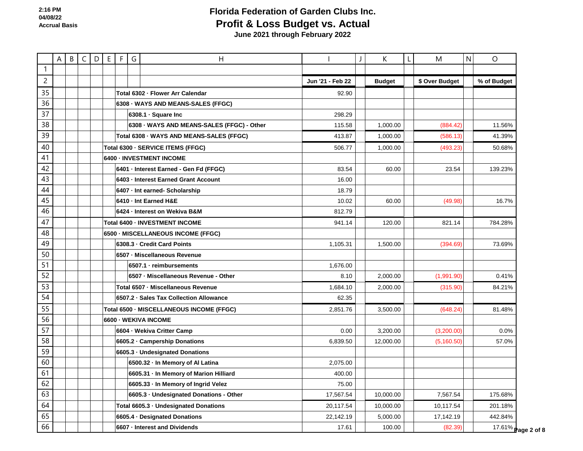|                | $\mathsf{A}$ | B C | $D$ $E$ | F G | H                                          |                  | К             | M              | N | $\circ$            |  |
|----------------|--------------|-----|---------|-----|--------------------------------------------|------------------|---------------|----------------|---|--------------------|--|
| $\mathbf{1}$   |              |     |         |     |                                            |                  |               |                |   |                    |  |
| $\overline{c}$ |              |     |         |     |                                            | Jun '21 - Feb 22 | <b>Budget</b> | \$ Over Budget |   | % of Budget        |  |
| 35             |              |     |         |     | Total 6302 - Flower Arr Calendar           | 92.90            |               |                |   |                    |  |
| 36             |              |     |         |     | 6308 - WAYS AND MEANS-SALES (FFGC)         |                  |               |                |   |                    |  |
| 37             |              |     |         |     | 6308.1 · Square Inc                        | 298.29           |               |                |   |                    |  |
| 38             |              |     |         |     | 6308 - WAYS AND MEANS-SALES (FFGC) - Other | 115.58           | 1,000.00      | (884.42)       |   | 11.56%             |  |
| 39             |              |     |         |     | Total 6308 · WAYS AND MEANS-SALES (FFGC)   | 413.87           | 1,000.00      | (586.13)       |   | 41.39%             |  |
| 40             |              |     |         |     | Total 6300 - SERVICE ITEMS (FFGC)          | 506.77           | 1,000.00      | (493.23)       |   | 50.68%             |  |
| 41             |              |     |         |     | 6400 - INVESTMENT INCOME                   |                  |               |                |   |                    |  |
| 42             |              |     |         |     | 6401 · Interest Earned - Gen Fd (FFGC)     | 83.54            | 60.00         | 23.54          |   | 139.23%            |  |
| 43             |              |     |         |     | 6403 - Interest Earned Grant Account       | 16.00            |               |                |   |                    |  |
| 44             |              |     |         |     | 6407 - Int earned- Scholarship             | 18.79            |               |                |   |                    |  |
| 45             |              |     |         |     | 6410 · Int Earned H&E                      | 10.02            | 60.00         | (49.98)        |   | 16.7%              |  |
| 46             |              |     |         |     | 6424 - Interest on Wekiva B&M              | 812.79           |               |                |   |                    |  |
| 47             |              |     |         |     | Total 6400 - INVESTMENT INCOME             | 941.14           | 120.00        | 821.14         |   | 784.28%            |  |
| 48             |              |     |         |     | 6500 - MISCELLANEOUS INCOME (FFGC)         |                  |               |                |   |                    |  |
| 49             |              |     |         |     | 6308.3 - Credit Card Points                | 1,105.31         | 1,500.00      | (394.69)       |   | 73.69%             |  |
| 50             |              |     |         |     | 6507 - Miscellaneous Revenue               |                  |               |                |   |                    |  |
| 51             |              |     |         |     | 6507.1 · reimbursements                    | 1,676.00         |               |                |   |                    |  |
| 52             |              |     |         |     | 6507 - Miscellaneous Revenue - Other       | 8.10             | 2,000.00      | (1,991.90)     |   | 0.41%              |  |
| 53             |              |     |         |     | Total 6507 - Miscellaneous Revenue         | 1,684.10         | 2,000.00      | (315.90)       |   | 84.21%             |  |
| 54             |              |     |         |     | 6507.2 · Sales Tax Collection Allowance    | 62.35            |               |                |   |                    |  |
| 55             |              |     |         |     | Total 6500 - MISCELLANEOUS INCOME (FFGC)   | 2,851.76         | 3,500.00      | (648.24)       |   | 81.48%             |  |
| 56             |              |     |         |     | 6600 - WEKIVA INCOME                       |                  |               |                |   |                    |  |
| 57             |              |     |         |     | 6604 - Wekiva Critter Camp                 | 0.00             | 3,200.00      | (3,200.00)     |   | 0.0%               |  |
| 58             |              |     |         |     | 6605.2 Campership Donations                | 6,839.50         | 12,000.00     | (5,160.50)     |   | 57.0%              |  |
| 59             |              |     |         |     | 6605.3 · Undesignated Donations            |                  |               |                |   |                    |  |
| 60             |              |     |         |     | 6500.32 - In Memory of Al Latina           | 2,075.00         |               |                |   |                    |  |
| 61             |              |     |         |     | 6605.31 · In Memory of Marion Hilliard     | 400.00           |               |                |   |                    |  |
| 62             |              |     |         |     | 6605.33 · In Memory of Ingrid Velez        | 75.00            |               |                |   |                    |  |
| 63             |              |     |         |     | 6605.3 · Undesignated Donations - Other    | 17,567.54        | 10,000.00     | 7,567.54       |   | 175.68%            |  |
| 64             |              |     |         |     | Total 6605.3 · Undesignated Donations      | 20,117.54        | 10,000.00     | 10,117.54      |   | 201.18%            |  |
| 65             |              |     |         |     | 6605.4 · Designated Donations              | 22,142.19        | 5,000.00      | 17,142.19      |   | 442.84%            |  |
| 66             |              |     |         |     | 6607 - Interest and Dividends              | 17.61            | 100.00        | (82.39)        |   | 17.61% Page 2 of 8 |  |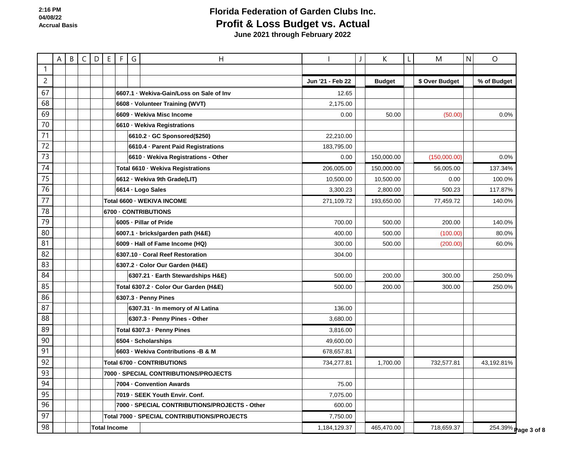1 2 3 67 A B C D E F G H H H I J K L M N O **Jun '21 - Feb 22 Budget \$ Over Budget % of Budget** 68 69 70 71 72 73 74 75 76 77 78 79 80 81 82 83 84 85 86 87 88 89 90 91 92 93 94 95 96 97 98 **6607.1 · Wekiva-Gain/Loss on Sale of Inv** 12.65 **6608 · Volunteer Training (WVT)** 2,175.00 **6609 · Wekiva Misc Income** 0.00 | | 50.00 | | (50.00) | | 0.0% **6610 · Wekiva Registrations 6610.2 · GC Sponsored(\$250)** 22,210.00 **6610.4 · Parent Paid Registrations** 183,795.00 **6610 · Wekiva Registrations - Other** 0.00 150,000.00 (150,000.00) 0.0% **Total 6610 · Wekiva Registrations** 206,005.00 150,000.00 56,005.00 137.34% **6612 · Wekiva 9th Grade(LIT) 10,500.00 | | 100.0% 6614 · Logo Sales** 3,300.23 2,800.00 500.23 117.87% **Total 6600 · WEKIVA INCOME** 271,109.72 193,650.00 77,459.72 140.0% **6700 · CONTRIBUTIONS 6005 · Pillar of Pride** 140.0% **140.0% 140.00 140.000 140.000 140.000 140.000 140.00** 140.00 **6007.1 · bricks/garden path (H&E)** 600.00 **6007.1 · bricks/garden path (H&E)** 500.00 **500.00** 500.00 (100.00) 80.0% **6009 · Hall of Fame Income (HQ)** 300.00 | | 500.00 | | (200.00) | | 60.0% **6307.10 · Coral Reef Restoration** 304.00 **6307.2 · Color Our Garden (H&E) 6307.21 · Earth Stewardships H&E)** 500.00 200.00 300.00 250.0% **Total 6307.2 · Color Our Garden (H&E)** 500.00 | | 200.00 | | 300.00 | | 250.0% **6307.3 · Penny Pines 6307.31 · In memory of Al Latina** 136.00 **6307.3 · Penny Pines - Other 3,680.00 Total 6307.3 · Penny Pines** 3,816.00 **6504 · Scholarships** 49,600.00 **6603 · Wekiva Contributions -B & M** 678,657.81 **Total 6700 · CONTRIBUTIONS** 734,277.81 1,700.00 734,277.81 43,192.81% **7000 · SPECIAL CONTRIBUTIONS/PROJECTS 7004 · Convention Awards** 75.00 **7019 · SEEK Youth Envir. Conf. 7,075.00 7000 · SPECIAL CONTRIBUTIONS/PROJECTS - Other 600.00 Total 7000 · SPECIAL CONTRIBUTIONS/PROJECTS** 7,750.00 **Total Income** 1,184,129.37 465,470.00 718,659.37 254.39% **Page 3 of 8**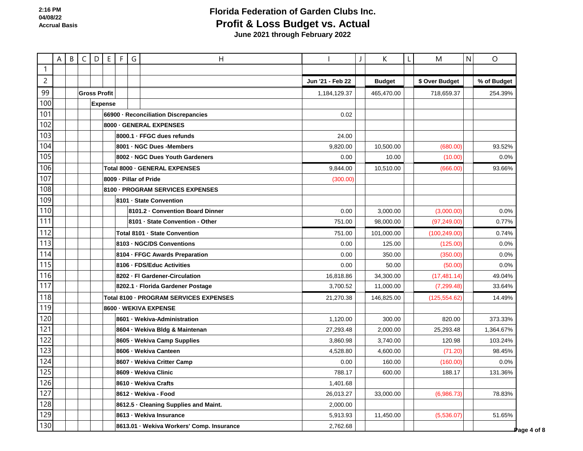|                | $\mathsf{A}$ |  | B C D E             |                | F | G                                        | $\overline{H}$                            |                  |  | K             | M              | N | $\circ$     |
|----------------|--------------|--|---------------------|----------------|---|------------------------------------------|-------------------------------------------|------------------|--|---------------|----------------|---|-------------|
| $\mathbf{1}$   |              |  |                     |                |   |                                          |                                           |                  |  |               |                |   |             |
| $\overline{c}$ |              |  |                     |                |   |                                          |                                           | Jun '21 - Feb 22 |  | <b>Budget</b> | \$ Over Budget |   | % of Budget |
| 99             |              |  | <b>Gross Profit</b> |                |   | 1.184.129.37<br>465,470.00<br>718,659.37 |                                           |                  |  |               | 254.39%        |   |             |
| 100            |              |  |                     | <b>Expense</b> |   |                                          |                                           |                  |  |               |                |   |             |
| 101            |              |  |                     |                |   |                                          | 66900 - Reconciliation Discrepancies      | 0.02             |  |               |                |   |             |
| 102            |              |  |                     |                |   |                                          | 8000 - GENERAL EXPENSES                   |                  |  |               |                |   |             |
| 103            |              |  |                     |                |   |                                          | 8000.1 · FFGC dues refunds                | 24.00            |  |               |                |   |             |
| 104            |              |  |                     |                |   |                                          | 8001 - NGC Dues - Members                 | 9,820.00         |  | 10,500.00     | (680.00)       |   | 93.52%      |
| 105            |              |  |                     |                |   |                                          | 8002 - NGC Dues Youth Gardeners           | 0.00             |  | 10.00         | (10.00)        |   | 0.0%        |
| 106            |              |  |                     |                |   |                                          | Total 8000 - GENERAL EXPENSES             | 9,844.00         |  | 10,510.00     | (666.00)       |   | 93.66%      |
| 107            |              |  |                     |                |   |                                          | 8009 - Pillar of Pride                    | (300.00)         |  |               |                |   |             |
| 108            |              |  |                     |                |   |                                          | 8100 - PROGRAM SERVICES EXPENSES          |                  |  |               |                |   |             |
| 109            |              |  |                     |                |   |                                          | 8101 · State Convention                   |                  |  |               |                |   |             |
| 110            |              |  |                     |                |   |                                          | 8101.2 - Convention Board Dinner          | 0.00             |  | 3,000.00      | (3,000.00)     |   | 0.0%        |
| 111            |              |  |                     |                |   |                                          | 8101 - State Convention - Other           | 751.00           |  | 98,000.00     | (97, 249.00)   |   | 0.77%       |
| 112            |              |  |                     |                |   |                                          | Total 8101 - State Convention             | 751.00           |  | 101,000.00    | (100, 249.00)  |   | 0.74%       |
| 113            |              |  |                     |                |   |                                          | 8103 - NGC/DS Conventions                 | 0.00             |  | 125.00        | (125.00)       |   | 0.0%        |
| 114            |              |  |                     |                |   |                                          | 8104 - FFGC Awards Preparation            | 0.00             |  | 350.00        | (350.00)       |   | 0.0%        |
| 115            |              |  |                     |                |   |                                          | 8106 - FDS/Educ Activities                | 0.00             |  | 50.00         | (50.00)        |   | 0.0%        |
| 116            |              |  |                     |                |   |                                          | 8202 - Fl Gardener-Circulation            | 16,818.86        |  | 34,300.00     | (17, 481.14)   |   | 49.04%      |
| 117            |              |  |                     |                |   |                                          | 8202.1 · Florida Gardener Postage         | 3,700.52         |  | 11,000.00     | (7, 299.48)    |   | 33.64%      |
| 118            |              |  |                     |                |   |                                          | Total 8100 - PROGRAM SERVICES EXPENSES    | 21,270.38        |  | 146,825.00    | (125, 554.62)  |   | 14.49%      |
| 119            |              |  |                     |                |   |                                          | 8600 - WEKIVA EXPENSE                     |                  |  |               |                |   |             |
| 120            |              |  |                     |                |   |                                          | 8601 · Wekiva-Administration              | 1,120.00         |  | 300.00        | 820.00         |   | 373.33%     |
| 121            |              |  |                     |                |   |                                          | 8604 · Wekiva Bldg & Maintenan            | 27,293.48        |  | 2,000.00      | 25,293.48      |   | 1,364.67%   |
| 122            |              |  |                     |                |   |                                          | 8605 · Wekiva Camp Supplies               | 3,860.98         |  | 3,740.00      | 120.98         |   | 103.24%     |
| 123            |              |  |                     |                |   |                                          | 8606 - Wekiva Canteen                     | 4,528.80         |  | 4,600.00      | (71.20)        |   | 98.45%      |
| 124            |              |  |                     |                |   |                                          | 8607 - Wekiva Critter Camp                | 0.00             |  | 160.00        | (160.00)       |   | 0.0%        |
| 125            |              |  |                     |                |   |                                          | 8609 - Wekiva Clinic                      | 788.17           |  | 600.00        | 188.17         |   | 131.36%     |
| 126            |              |  |                     |                |   |                                          | 8610 - Wekiva Crafts                      | 1,401.68         |  |               |                |   |             |
| 127            |              |  |                     |                |   |                                          | 8612 - Wekiva - Food                      | 26,013.27        |  | 33,000.00     | (6,986.73)     |   | 78.83%      |
| 128            |              |  |                     |                |   |                                          | 8612.5 · Cleaning Supplies and Maint.     | 2,000.00         |  |               |                |   |             |
| 129            |              |  |                     |                |   |                                          | 8613 - Wekiva Insurance                   | 5,913.93         |  | 11,450.00     | (5,536.07)     |   | 51.65%      |
| 130            |              |  |                     |                |   |                                          | 8613.01 · Wekiva Workers' Comp. Insurance | 2,762.68         |  |               |                |   | Page 4 of 8 |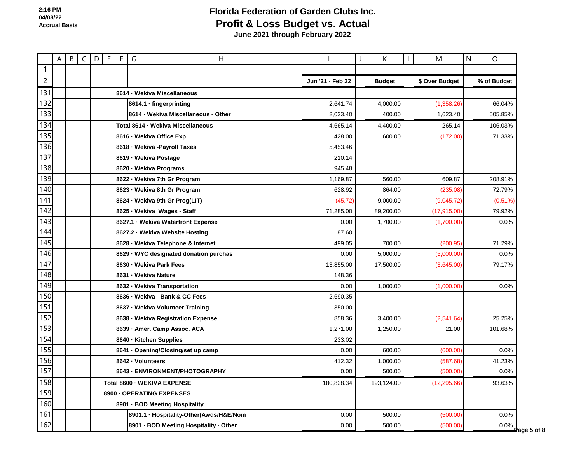|                | A | B |  | $C   D   E   F  $ | G | Η                                       |                  | J | K             | L | M              | N | O           |
|----------------|---|---|--|-------------------|---|-----------------------------------------|------------------|---|---------------|---|----------------|---|-------------|
| $\mathbf{1}$   |   |   |  |                   |   |                                         |                  |   |               |   |                |   |             |
| $\overline{c}$ |   |   |  |                   |   |                                         | Jun '21 - Feb 22 |   | <b>Budget</b> |   | \$ Over Budget |   | % of Budget |
| 131            |   |   |  |                   |   | 8614 · Wekiva Miscellaneous             |                  |   |               |   |                |   |             |
| 132            |   |   |  |                   |   | 8614.1 · fingerprinting                 | 2,641.74         |   | 4,000.00      |   | (1,358.26)     |   | 66.04%      |
| 133            |   |   |  |                   |   | 8614 · Wekiva Miscellaneous - Other     | 2,023.40         |   | 400.00        |   | 1,623.40       |   | 505.85%     |
| 134            |   |   |  |                   |   | Total 8614 - Wekiva Miscellaneous       | 4,665.14         |   | 4,400.00      |   | 265.14         |   | 106.03%     |
| 135            |   |   |  |                   |   | 8616 - Wekiva Office Exp                | 428.00           |   | 600.00        |   | (172.00)       |   | 71.33%      |
| 136            |   |   |  |                   |   | 8618 · Wekiva - Payroll Taxes           | 5,453.46         |   |               |   |                |   |             |
| 137            |   |   |  |                   |   | 8619 · Wekiva Postage                   | 210.14           |   |               |   |                |   |             |
| 138            |   |   |  |                   |   | 8620 · Wekiva Programs                  | 945.48           |   |               |   |                |   |             |
| 139            |   |   |  |                   |   | 8622 - Wekiva 7th Gr Program            | 1,169.87         |   | 560.00        |   | 609.87         |   | 208.91%     |
| 140            |   |   |  |                   |   | 8623 - Wekiva 8th Gr Program            | 628.92           |   | 864.00        |   | (235.08)       |   | 72.79%      |
| 141            |   |   |  |                   |   | 8624 · Wekiva 9th Gr Prog(LIT)          | (45.72)          |   | 9,000.00      |   | (9,045.72)     |   | (0.51%)     |
| 142            |   |   |  |                   |   | 8625 - Wekiva Wages - Staff             | 71,285.00        |   | 89,200.00     |   | (17, 915.00)   |   | 79.92%      |
| 143            |   |   |  |                   |   | 8627.1 · Wekiva Waterfront Expense      | 0.00             |   | 1,700.00      |   | (1,700.00)     |   | 0.0%        |
| 144            |   |   |  |                   |   | 8627.2 · Wekiva Website Hosting         | 87.60            |   |               |   |                |   |             |
| 145            |   |   |  |                   |   | 8628 · Wekiva Telephone & Internet      | 499.05           |   | 700.00        |   | (200.95)       |   | 71.29%      |
| 146            |   |   |  |                   |   | 8629 WYC designated donation purchas    | 0.00             |   | 5,000.00      |   | (5,000.00)     |   | 0.0%        |
| 147            |   |   |  |                   |   | 8630 - Wekiva Park Fees                 | 13,855.00        |   | 17,500.00     |   | (3,645.00)     |   | 79.17%      |
| 148            |   |   |  |                   |   | 8631 - Wekiva Nature                    | 148.36           |   |               |   |                |   |             |
| 149            |   |   |  |                   |   | 8632 - Wekiva Transportation            | 0.00             |   | 1,000.00      |   | (1,000.00)     |   | 0.0%        |
| 150            |   |   |  |                   |   | 8636 - Wekiva - Bank & CC Fees          | 2,690.35         |   |               |   |                |   |             |
| 151            |   |   |  |                   |   | 8637 - Wekiva Volunteer Training        | 350.00           |   |               |   |                |   |             |
| 152            |   |   |  |                   |   | 8638 · Wekiva Registration Expense      | 858.36           |   | 3,400.00      |   | (2,541.64)     |   | 25.25%      |
| 153            |   |   |  |                   |   | 8639 - Amer. Camp Assoc. ACA            | 1,271.00         |   | 1,250.00      |   | 21.00          |   | 101.68%     |
| 154            |   |   |  |                   |   | 8640 - Kitchen Supplies                 | 233.02           |   |               |   |                |   |             |
| 155            |   |   |  |                   |   | 8641 · Opening/Closing/set up camp      | 0.00             |   | 600.00        |   | (600.00)       |   | 0.0%        |
| 156            |   |   |  |                   |   | 8642 · Volunteers                       | 412.32           |   | 1,000.00      |   | (587.68)       |   | 41.23%      |
| 157            |   |   |  |                   |   | 8643 - ENVIRONMENT/PHOTOGRAPHY          | 0.00             |   | 500.00        |   | (500.00)       |   | 0.0%        |
| 158            |   |   |  |                   |   | Total 8600 - WEKIVA EXPENSE             | 180,828.34       |   | 193,124.00    |   | (12, 295.66)   |   | 93.63%      |
| 159            |   |   |  |                   |   | 8900 - OPERATING EXPENSES               |                  |   |               |   |                |   |             |
| 160            |   |   |  |                   |   | 8901 · BOD Meeting Hospitality          |                  |   |               |   |                |   |             |
| 161            |   |   |  |                   |   | 8901.1 · Hospitality-Other(Awds/H&E/Nom | 0.00             |   | 500.00        |   | (500.00)       |   | 0.0%        |
| 162            |   |   |  |                   |   | 8901 · BOD Meeting Hospitality - Other  | 0.00             |   | 500.00        |   | (500.00)       |   | $0.0\%$     |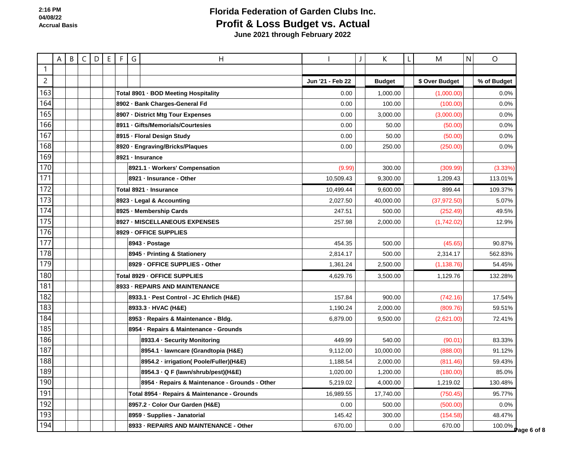|                | $\mathsf{A}$ | B C D E |  | F G | Η                                              |                  | K             | M              | N | $\circ$            |
|----------------|--------------|---------|--|-----|------------------------------------------------|------------------|---------------|----------------|---|--------------------|
| $\mathbf{1}$   |              |         |  |     |                                                |                  |               |                |   |                    |
| $\overline{2}$ |              |         |  |     |                                                | Jun '21 - Feb 22 | <b>Budget</b> | \$ Over Budget |   | % of Budget        |
| 163            |              |         |  |     | Total 8901 · BOD Meeting Hospitality           | 0.00             | 1,000.00      | (1,000.00)     |   | 0.0%               |
| 164            |              |         |  |     | 8902 · Bank Charges-General Fd                 | 0.00             | 100.00        | (100.00)       |   | 0.0%               |
| 165            |              |         |  |     | 8907 - District Mtg Tour Expenses              | 0.00             | 3,000.00      | (3,000.00)     |   | 0.0%               |
| 166            |              |         |  |     | 8911 - Gifts/Memorials/Courtesies              | 0.00             | 50.00         | (50.00)        |   | 0.0%               |
| 167            |              |         |  |     | 8915 - Floral Design Study                     | 0.00             | 50.00         | (50.00)        |   | 0.0%               |
| 168            |              |         |  |     | 8920 · Engraving/Bricks/Plaques                | 0.00             | 250.00        | (250.00)       |   | 0.0%               |
| 169            |              |         |  |     | 8921 - Insurance                               |                  |               |                |   |                    |
| 170            |              |         |  |     | 8921.1 · Workers' Compensation                 | (9.99)           | 300.00        | (309.99)       |   | (3.33%)            |
| 171            |              |         |  |     | 8921 - Insurance - Other                       | 10,509.43        | 9,300.00      | 1,209.43       |   | 113.01%            |
| 172            |              |         |  |     | Total 8921 - Insurance                         | 10,499.44        | 9,600.00      | 899.44         |   | 109.37%            |
| 173            |              |         |  |     | 8923 · Legal & Accounting                      | 2,027.50         | 40,000.00     | (37, 972.50)   |   | 5.07%              |
| 174            |              |         |  |     | 8925 - Membership Cards                        | 247.51           | 500.00        | (252.49)       |   | 49.5%              |
| 175            |              |         |  |     | 8927 - MISCELLANEOUS EXPENSES                  | 257.98           | 2,000.00      | (1,742.02)     |   | 12.9%              |
| 176            |              |         |  |     | 8929 - OFFICE SUPPLIES                         |                  |               |                |   |                    |
| 177            |              |         |  |     | 8943 - Postage                                 | 454.35           | 500.00        | (45.65)        |   | 90.87%             |
| 178            |              |         |  |     | 8945 · Printing & Stationery                   | 2,814.17         | 500.00        | 2,314.17       |   | 562.83%            |
| 179            |              |         |  |     | 8929 - OFFICE SUPPLIES - Other                 | 1,361.24         | 2,500.00      | (1, 138.76)    |   | 54.45%             |
| 180            |              |         |  |     | Total 8929 - OFFICE SUPPLIES                   | 4,629.76         | 3,500.00      | 1,129.76       |   | 132.28%            |
| 181            |              |         |  |     | 8933 - REPAIRS AND MAINTENANCE                 |                  |               |                |   |                    |
| 182            |              |         |  |     | 8933.1 · Pest Control - JC Ehrlich (H&E)       | 157.84           | 900.00        | (742.16)       |   | 17.54%             |
| 183            |              |         |  |     | 8933.3 - HVAC (H&E)                            | 1,190.24         | 2,000.00      | (809.76)       |   | 59.51%             |
| 184            |              |         |  |     | 8953 - Repairs & Maintenance - Bldg.           | 6,879.00         | 9,500.00      | (2,621.00)     |   | 72.41%             |
| 185            |              |         |  |     | 8954 · Repairs & Maintenance - Grounds         |                  |               |                |   |                    |
| 186            |              |         |  |     | 8933.4 · Security Monitoring                   | 449.99           | 540.00        | (90.01)        |   | 83.33%             |
| 187            |              |         |  |     | 8954.1 - lawncare (Grandtopia (H&E)            | 9,112.00         | 10,000.00     | (888.00)       |   | 91.12%             |
| 188            |              |         |  |     | 8954.2 · irrigation( Poole/Fuller)(H&E)        | 1,188.54         | 2,000.00      | (811.46)       |   | 59.43%             |
| 189            |              |         |  |     | 8954.3 · Q F (lawn/shrub/pest)(H&E)            | 1,020.00         | 1,200.00      | (180.00)       |   | 85.0%              |
| 190            |              |         |  |     | 8954 · Repairs & Maintenance - Grounds - Other | 5,219.02         | 4,000.00      | 1,219.02       |   | 130.48%            |
| 191            |              |         |  |     | Total 8954 · Repairs & Maintenance - Grounds   | 16,989.55        | 17,740.00     | (750.45)       |   | 95.77%             |
| 192            |              |         |  |     | 8957.2 · Color Our Garden (H&E)                | 0.00             | 500.00        | (500.00)       |   | 0.0%               |
| 193            |              |         |  |     | 8959 - Supplies - Janatorial                   | 145.42           | 300.00        | (154.58)       |   | 48.47%             |
| 194            |              |         |  |     | 8933 - REPAIRS AND MAINTENANCE - Other         | 670.00           | 0.00          | 670.00         |   | 100.0% Page 6 of 8 |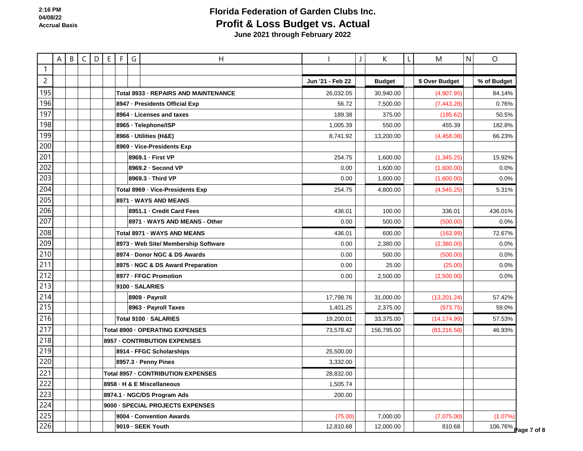1 2 3 195 A B C D E F G H H H H I J K L M N O **Jun '21 - Feb 22 Budget \$ Over Budget % of Budget** 196 197 198 199 200 201 202 203 204 205 206 207 208 209 210 211 212 213 214 215 216 217 218 219 220  $22^{\degree}$ 222 223 224 225 226 Total 8933 · REPAIRS AND MAINTENANCE 26,032.05 | | 30,940.00 | | (4,907.95) | | 84.14% **8947 · Presidents Official Exp** 56.72 7,500.00 (7,443.28) 0.76% **8964 · Licenses and taxes** 189.38 **189.38** 189.38 **189.38** 375.00 (185.62) 50.5% **8965 · Telephone/ISP** 182.8% **· Telephone/ISP** 1,005.39 **1,005.39** 1,005.39 18965 · Telephone/ISP **8966 · Utilities (H&E)** 8,741.92 13,200.00 (4,458.08) 66.23% **8969 · Vice-Presidents Exp 8969.1 · First VP** 254.75 | | 1,600.00 | | (1,345.25)| | 15.92% **8969.2 · Second VP** 0.0% **1,600.00 1,600.00 1,600.00 1,600.00 1,600.00 1,600.00 1,600.00 1,600.00 1,600.00 1,600.00 1,600.00 1,600.00 1,600.00 1,600.00 1,600.00 1,600.00 1,600.00 1,600.00 8969.3 · Third VP** 0.00 | | 1,600.00 | | (1,600.00) | | 0.0% **Total 8969 · Vice-Presidents Exp** 254.75 | 4,800.00 | 4,545.25 | 4,545.25 | 5.31% **8971 · WAYS AND MEANS 8951.1 · Credit Card Fees** 436.01 100.00 336.01 436.01% **8971 · WAYS AND MEANS - Other** 0.00 500.00 (500.00) 0.0% **Total 8971 · WAYS AND MEANS** 436.01 | | 600.00 | | (163.99) | | 72.67% **8973 · Web Site/ Membership Software \begin{array}{|c|c|c|c|c|c|c|c|} \hline \textbf{8973} & \textbf{0.00} & \textbf{0.2,380.00} & \textbf{0.00} & \textbf{0.0\%} & \textbf{0.0\%} & \textbf{0.0\%} & \textbf{0.00\%} & \textbf{0.00\%} & \textbf{0.00\%} & \textbf{0.00\%} & \textbf{0.00\%} & \textbf{0.00\%} & \textbf{0. 8974 · Donor NGC & DS Awards** 0.00 500.00 (500.00) 0.0% **8975 · NGC & DS Award Preparation 18975 · NGC & DS Award Preparation 18975 · NGC & DS Award Preparation 18975 · 1898 8977 · FFGC Promotion 0.00 | | 2.500.00 | | (2.500.00) | | 0.0% 9100 · SALARIES 8909 · Payroll 17,798.76 31,000.00 (13,201.24) 57.42% 8963 · Payroll Taxes** 1,401.25 2,375.00 (973.75) 59.0% **Total 9100 · SALARIES** 19,200.01 33,375.00 57.53% **Total 8900 · OPERATING EXPENSES** TOTAL TOTAL TOTAL TOTAL TOTAL TOTAL TOTAL TOTAL TOTAL TOTAL TOTAL TOTAL TOTAL TO **8957 · CONTRIBUTION EXPENSES 8914 · FFGC Scholarships** 25,500.00 **8957.3 · Penny Pines** 3,332.00 **Total 8957 · CONTRIBUTION EXPENSES** 28,832.00 **8958 · H & E Miscellaneous** 1,505.74 **8974.1 · NGC/DS Program Ads 200.00 9000 · SPECIAL PROJECTS EXPENSES 9004 · Convention Awards** (75.00) 7,000.00 (7,075.00) (1.07%) **9019 · SEEK Youth 12,810.68** 12,000.00 810.68 106.76% **P**age 7 of 8